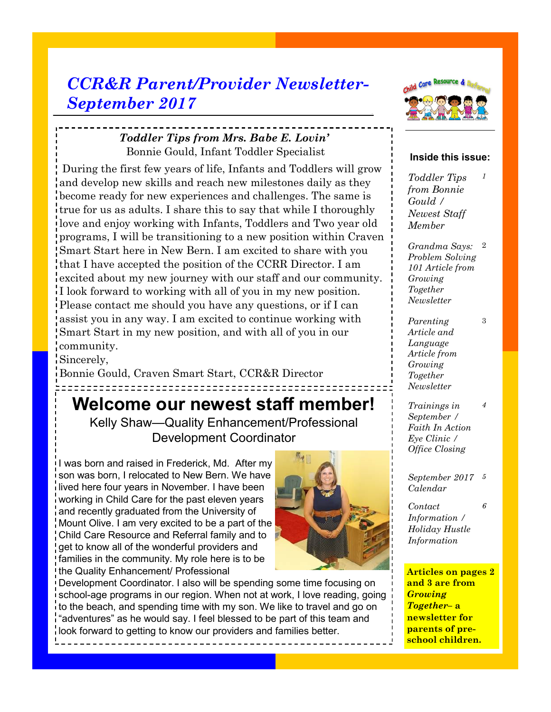# *CCR&R Parent/Provider Newsletter-September 2017*

### *Toddler Tips from Mrs. Babe E. Lovin'*  Bonnie Gould, Infant Toddler Specialist

During the first few years of life, Infants and Toddlers will grow and develop new skills and reach new milestones daily as they become ready for new experiences and challenges. The same is true for us as adults. I share this to say that while I thoroughly love and enjoy working with Infants, Toddlers and Two year old programs, I will be transitioning to a new position within Craven Smart Start here in New Bern. I am excited to share with you that I have accepted the position of the CCRR Director. I am excited about my new journey with our staff and our community. I look forward to working with all of you in my new position. Please contact me should you have any questions, or if I can assist you in any way. I am excited to continue working with Smart Start in my new position, and with all of you in our community.

Sincerely,

Bonnie Gould, Craven Smart Start, CCR&R Director

# **Welcome our newest staff member!**

Kelly Shaw—Quality Enhancement/Professional Development Coordinator

I was born and raised in Frederick, Md. After my son was born, I relocated to New Bern. We have lived here four years in November. I have been working in Child Care for the past eleven years and recently graduated from the University of Mount Olive. I am very excited to be a part of the Child Care Resource and Referral family and to get to know all of the wonderful providers and families in the community. My role here is to be the Quality Enhancement/ Professional



Development Coordinator. I also will be spending some time focusing on school-age programs in our region. When not at work, I love reading, going to the beach, and spending time with my son. We like to travel and go on "adventures" as he would say. I feel blessed to be part of this team and look forward to getting to know our providers and families better.



#### **Inside this issue:**

*Toddler Tips from Bonnie Gould / Newest Staff Member 1*

*Grandma Says:*  2 *Problem Solving 101 Article from Growing Together Newsletter*

3

*4*

*6*

*Parenting Article and Language Article from Growing Together Newsletter* 

*Trainings in September / Faith In Action Eye Clinic / Office Closing*

*September 2017 5 Calendar* 

*Contact Information / Holiday Hustle Information* 

**Articles on pages 2 and 3 are from**  *Growing Together***– a newsletter for parents of preschool children.**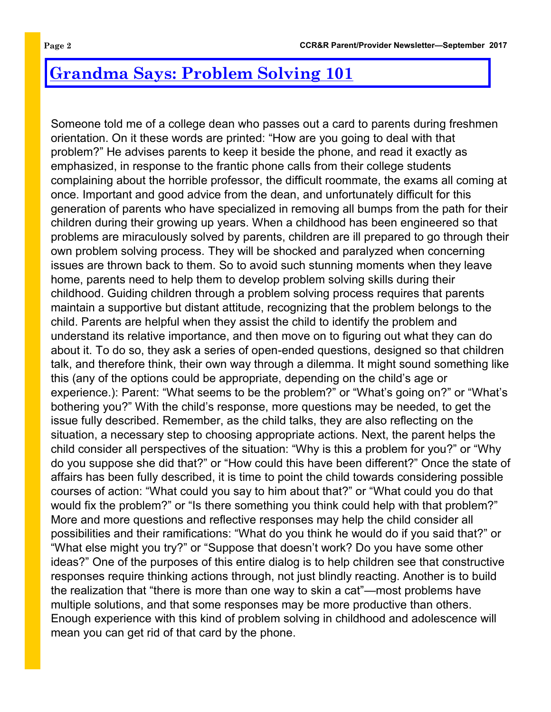# **Grandma Says: Problem Solving 101**

Someone told me of a college dean who passes out a card to parents during freshmen orientation. On it these words are printed: "How are you going to deal with that problem?" He advises parents to keep it beside the phone, and read it exactly as emphasized, in response to the frantic phone calls from their college students complaining about the horrible professor, the difficult roommate, the exams all coming at once. Important and good advice from the dean, and unfortunately difficult for this generation of parents who have specialized in removing all bumps from the path for their children during their growing up years. When a childhood has been engineered so that problems are miraculously solved by parents, children are ill prepared to go through their own problem solving process. They will be shocked and paralyzed when concerning issues are thrown back to them. So to avoid such stunning moments when they leave home, parents need to help them to develop problem solving skills during their childhood. Guiding children through a problem solving process requires that parents maintain a supportive but distant attitude, recognizing that the problem belongs to the child. Parents are helpful when they assist the child to identify the problem and understand its relative importance, and then move on to figuring out what they can do about it. To do so, they ask a series of open-ended questions, designed so that children talk, and therefore think, their own way through a dilemma. It might sound something like this (any of the options could be appropriate, depending on the child's age or experience.): Parent: "What seems to be the problem?" or "What's going on?" or "What's bothering you?" With the child's response, more questions may be needed, to get the issue fully described. Remember, as the child talks, they are also reflecting on the situation, a necessary step to choosing appropriate actions. Next, the parent helps the child consider all perspectives of the situation: "Why is this a problem for you?" or "Why do you suppose she did that?" or "How could this have been different?" Once the state of affairs has been fully described, it is time to point the child towards considering possible courses of action: "What could you say to him about that?" or "What could you do that would fix the problem?" or "Is there something you think could help with that problem?" More and more questions and reflective responses may help the child consider all possibilities and their ramifications: "What do you think he would do if you said that?" or "What else might you try?" or "Suppose that doesn't work? Do you have some other ideas?" One of the purposes of this entire dialog is to help children see that constructive responses require thinking actions through, not just blindly reacting. Another is to build the realization that "there is more than one way to skin a cat"—most problems have multiple solutions, and that some responses may be more productive than others. Enough experience with this kind of problem solving in childhood and adolescence will mean you can get rid of that card by the phone.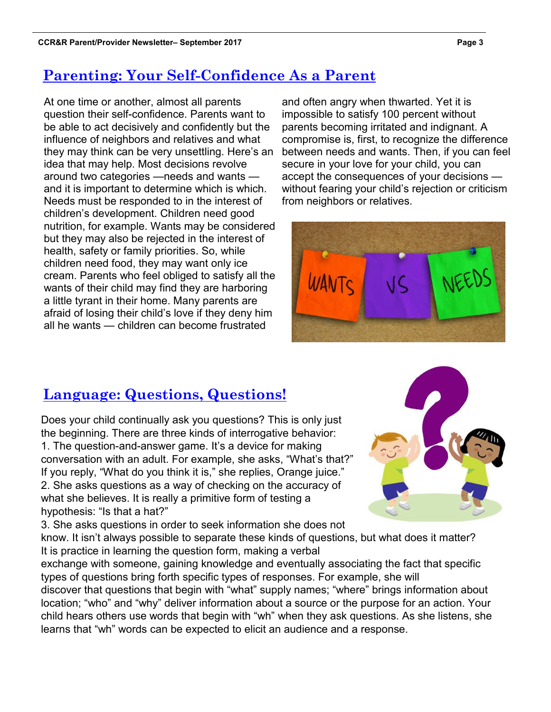# **Parenting: Your Self-Confidence As a Parent**

At one time or another, almost all parents question their self-confidence. Parents want to be able to act decisively and confidently but the influence of neighbors and relatives and what they may think can be very unsettling. Here's an idea that may help. Most decisions revolve around two categories —needs and wants and it is important to determine which is which. Needs must be responded to in the interest of children's development. Children need good nutrition, for example. Wants may be considered but they may also be rejected in the interest of health, safety or family priorities. So, while children need food, they may want only ice cream. Parents who feel obliged to satisfy all the wants of their child may find they are harboring a little tyrant in their home. Many parents are afraid of losing their child's love if they deny him all he wants — children can become frustrated

and often angry when thwarted. Yet it is impossible to satisfy 100 percent without parents becoming irritated and indignant. A compromise is, first, to recognize the difference between needs and wants. Then, if you can feel secure in your love for your child, you can accept the consequences of your decisions without fearing your child's rejection or criticism from neighbors or relatives.



## **Language: Questions, Questions!**

Does your child continually ask you questions? This is only just the beginning. There are three kinds of interrogative behavior: 1. The question-and-answer game. It's a device for making conversation with an adult. For example, she asks, "What's that?" If you reply, "What do you think it is," she replies, Orange juice." 2. She asks questions as a way of checking on the accuracy of what she believes. It is really a primitive form of testing a hypothesis: "Is that a hat?"

3. She asks questions in order to seek information she does not know. It isn't always possible to separate these kinds of questions, but what does it matter? It is practice in learning the question form, making a verbal

exchange with someone, gaining knowledge and eventually associating the fact that specific types of questions bring forth specific types of responses. For example, she will

discover that questions that begin with "what" supply names; "where" brings information about location; "who" and "why" deliver information about a source or the purpose for an action. Your child hears others use words that begin with "wh" when they ask questions. As she listens, she learns that "wh" words can be expected to elicit an audience and a response.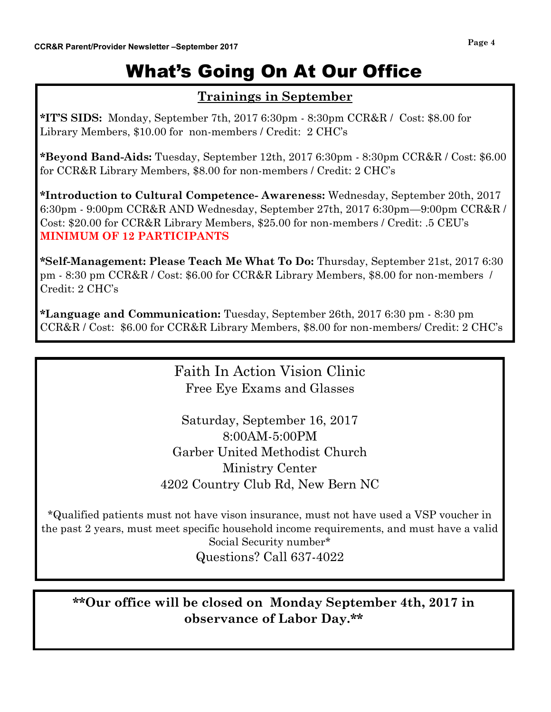# What's Going On At Our Office

### **Trainings in September**

**\*IT'S SIDS:** Monday, September 7th, 2017 6:30pm - 8:30pm CCR&R / Cost: \$8.00 for Library Members, \$10.00 for non-members / Credit: 2 CHC's

**\*Beyond Band-Aids:** Tuesday, September 12th, 2017 6:30pm - 8:30pm CCR&R / Cost: \$6.00 for CCR&R Library Members, \$8.00 for non-members / Credit: 2 CHC's

**\*Introduction to Cultural Competence- Awareness:** Wednesday, September 20th, 2017 6:30pm - 9:00pm CCR&R AND Wednesday, September 27th, 2017 6:30pm—9:00pm CCR&R / Cost: \$20.00 for CCR&R Library Members, \$25.00 for non-members / Credit: .5 CEU's **MINIMUM OF 12 PARTICIPANTS**

**\*Self-Management: Please Teach Me What To Do:** Thursday, September 21st, 2017 6:30 pm - 8:30 pm CCR&R / Cost: \$6.00 for CCR&R Library Members, \$8.00 for non-members / Credit: 2 CHC's

**\*Language and Communication:** Tuesday, September 26th, 2017 6:30 pm - 8:30 pm CCR&R / Cost: \$6.00 for CCR&R Library Members, \$8.00 for non-members/ Credit: 2 CHC's

## Faith In Action Vision Clinic Free Eye Exams and Glasses

Saturday, September 16, 2017 8:00AM-5:00PM Garber United Methodist Church Ministry Center 4202 Country Club Rd, New Bern NC

\*Qualified patients must not have vison insurance, must not have used a VSP voucher in the past 2 years, must meet specific household income requirements, and must have a valid Social Security number\* Questions? Call 637-4022

### **\*\*Our office will be closed on Monday September 4th, 2017 in observance of Labor Day.\*\***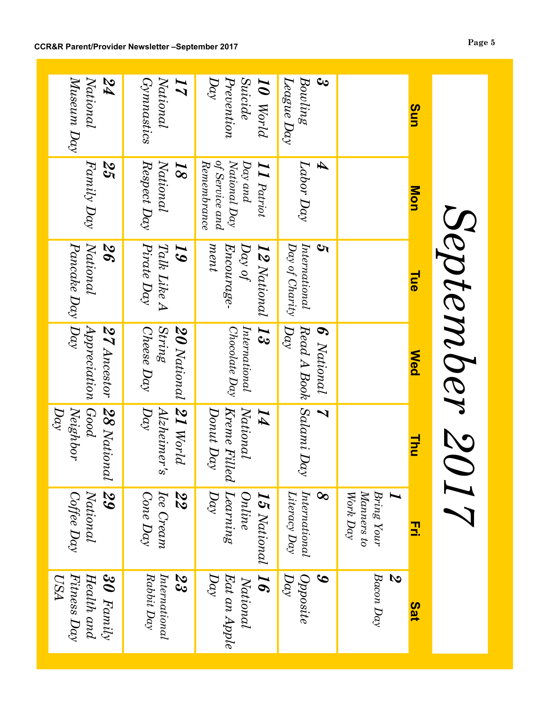|                                                              |                                                                                        | September 20                                            |                                                          |                                                   |                                                            |                                                        |
|--------------------------------------------------------------|----------------------------------------------------------------------------------------|---------------------------------------------------------|----------------------------------------------------------|---------------------------------------------------|------------------------------------------------------------|--------------------------------------------------------|
| Sun                                                          | Mon                                                                                    | Tue                                                     | <b>Med</b>                                               | Thu                                               | 곬                                                          | Sat                                                    |
|                                                              |                                                                                        |                                                         |                                                          |                                                   | Manners to<br>Work Day<br>Bring Your                       | $Bacon$ $Day$<br>S                                     |
| ಲ<br>Bouling                                                 | A<br>$\emph{Labor Day}$                                                                | International<br><u>ખ</u>                               | $Read\,A\,Book$ Salami Day<br>6 National                 | $\overline{\mathcal{L}}$                          | $\emph{Introduction}$<br>$\infty$                          | Opposite<br>$\boldsymbol{\mathcal{S}}$                 |
| ${{\cal L}e}$ ague $D\alpha y$                               |                                                                                        | Day of Charity                                          | Day                                                      |                                                   | Literacy $Day$                                             | Day                                                    |
| Prevention<br><i><b>Suicide</b></i><br>$D\alpha$<br>10 World | of Service and<br>$National$ $Day$<br>Kemembrance<br>Day and<br>$\bm{I}\bm{I}$ Patriot | ment<br>$D\alpha\gamma$ of<br>Encourage-<br>12 National | International<br>Chocolate Day<br>ದ್                     | National<br>Kreme Filled<br>Donut Day<br>$\bm{I}$ | Learning<br>$\overline{C}$<br>Online<br>$\bm{15}$ National | $\bm{g}$<br>Day<br>$E$ at an Apple<br>National         |
| Gymnastics<br>National<br>$\bm{I}$                           | $\emph{Kespect Day}$<br>National<br>$\overline{\mathcal{S}}$                           | Pirate Day<br>Talk Like A<br>$\bm{5}$                   | <i><b>String</b></i><br>Cheese Day<br><b>20</b> National | 21 World<br>Day<br>Alzheimer's                    | $Cone$ $Day$<br>Ice Cream<br>22<br>21                      | $\emph{Introduction}$<br>$Rabbit$ $Day$<br>رج<br>پ     |
| $M$ useum Day<br>National<br>74                              | Family Day<br>25                                                                       | National<br>Pancake Day   Day<br>26                     | Apprecation<br>27 Ancestor                               | Good<br>Neighbor<br>$D\alpha$<br>28 National      | 29<br>National<br>Coffee Day                               | Fitness Day<br>$30$ Family<br>Health and<br><b>USA</b> |